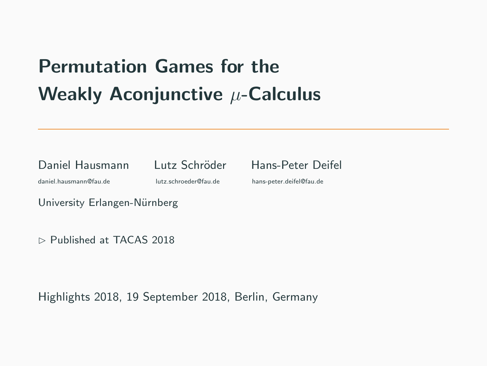# **UNCTIVE**  $\mu$ **-Calculus**<br>
Lutz Schröder Hans-Peter Deifel<br>
Utz.schroeder@fau.de hans-peter.deifel@fau.de<br>
Derg<br>
018 Permutation Games for the Weakly Aconjunctive  $\mu$ -Calculus

Daniel Hausmann Lutz Schröder Hans-Peter Deifel

daniel.hausmann@fau.de lutz.schroeder@fau.de hans-peter.deifel@fau.de

University Erlangen-Nürnberg

 $\triangleright$  Published at TACAS 2018

Highlights 2018, 19 September 2018, Berlin, Germany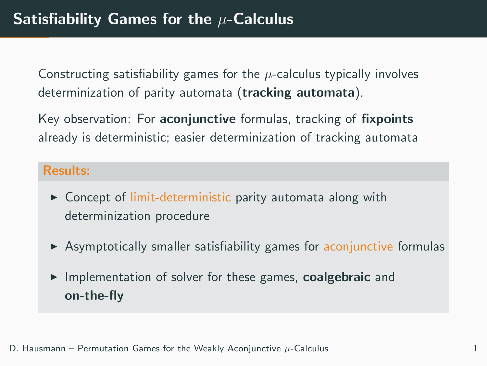Constructing satisfiability games for the  $\mu$ -calculus typically involves determinization of parity automata (tracking automata).

Key observation: For **aconjunctive** formulas, tracking of **fixpoints** already is deterministic; easier determinization of tracking automata

### Results:

- $\triangleright$  Concept of limit-deterministic parity automata along with determinization procedure
- $\triangleright$  Asymptotically smaller satisfiability games for aconjunctive formulas
- $\triangleright$  Implementation of solver for these games, coalgebraic and on-the-fly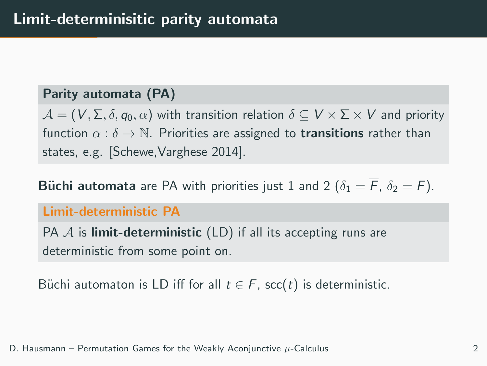## Parity automata (PA)

 $\mathcal{A} = (V, \Sigma, \delta, q_0, \alpha)$  with transition relation  $\delta \subset V \times \Sigma \times V$  and priority function  $\alpha : \delta \to \mathbb{N}$ . Priorities are assigned to **transitions** rather than states, e.g. [Schewe,Varghese 2014].

**Büchi automata** are PA with priorities just 1 and 2 ( $\delta_1 = \overline{F}$ ,  $\delta_2 = F$ ).

### Limit-deterministic PA

PA  $\mathcal A$  is **limit-deterministic** (LD) if all its accepting runs are deterministic from some point on.

Büchi automaton is LD iff for all  $t \in F$ , scc(t) is deterministic.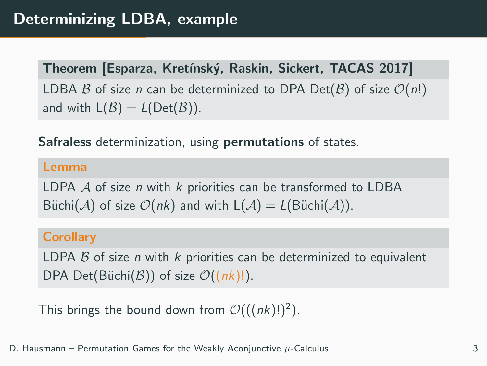Theorem [Esparza, Kretínský, Raskin, Sickert, TACAS 2017] LDBA B of size n can be determinized to DPA Det(B) of size  $\mathcal{O}(n!)$ and with  $L(\mathcal{B}) = L(\mathrm{Det}(\mathcal{B}))$ .

Safraless determinization, using permutations of states.

### Lemma

LDPA  $A$  of size *n* with  $k$  priorities can be transformed to LDBA Büchi(A) of size  $\mathcal{O}(nk)$  and with  $L(\mathcal{A}) = L(\text{Büchi}(\mathcal{A}))$ .

### **Corollary**

LDPA  $\beta$  of size n with k priorities can be determinized to equivalent DPA Det(Büchi(B)) of size  $\mathcal{O}((nk)!)$ .

This brings the bound down from  $\mathcal{O}(((nk)!)^2)$ .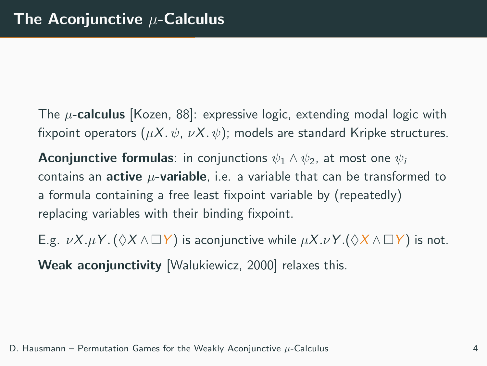The  $\mu$ -calculus [Kozen, 88]: expressive logic, extending modal logic with fixpoint operators  $(\mu X, \psi, \nu X, \psi)$ ; models are standard Kripke structures.

**Aconjunctive formulas:** in conjunctions  $\psi_1 \wedge \psi_2$ , at most one  $\psi_i$ contains an **active**  $\mu$ -variable, i.e. a variable that can be transformed to a formula containing a free least fixpoint variable by (repeatedly) replacing variables with their binding fixpoint.

E.g.  $\nu X.\mu Y.(\Diamond X \wedge \Box Y)$  is aconjunctive while  $\mu X.\nu Y.(\Diamond X \wedge \Box Y)$  is not. Weak aconjunctivity [Walukiewicz, 2000] relaxes this.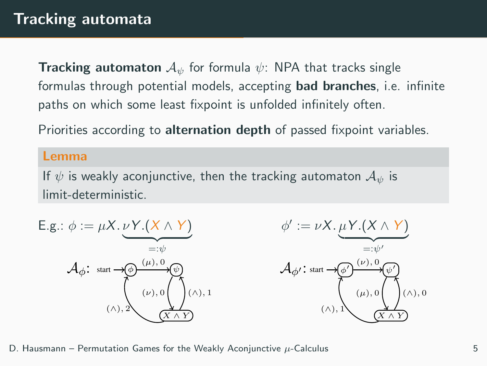**Tracking automaton**  $A_{\psi}$  for formula  $\psi$ : NPA that tracks single formulas through potential models, accepting bad branches, i.e. infinite paths on which some least fixpoint is unfolded infinitely often.

Priorities according to **alternation depth** of passed fixpoint variables.

### Lemma

If  $\psi$  is weakly aconjunctive, then the tracking automaton  $\mathcal{A}_{\psi}$  is limit-deterministic.



D. Hausmann – Permutation Games for the Weakly Aconjunctive  $\mu$ -Calculus  $\mu$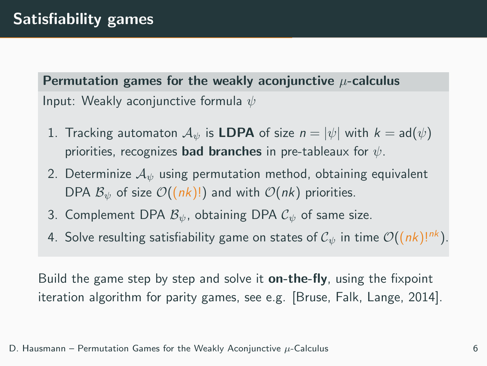Permutation games for the weakly aconjunctive  $\mu$ -calculus Input: Weakly aconjunctive formula  $\psi$ 

- 1. Tracking automaton  $\mathcal{A}_{\psi}$  is LDPA of size  $n = |\psi|$  with  $k = ad(\psi)$ priorities, recognizes **bad branches** in pre-tableaux for  $\psi$ .
- 2. Determinize  $A_{\psi}$  using permutation method, obtaining equivalent DPA  $B_{\psi}$  of size  $\mathcal{O}((nk)!)$  and with  $\mathcal{O}(nk)$  priorities.
- 3. Complement DPA  $\mathcal{B}_{\psi}$ , obtaining DPA  $\mathcal{C}_{\psi}$  of same size.
- 4. Solve resulting satisfiability game on states of  $C_{\psi}$  in time  $\mathcal{O}((nk)!^{nk})$ .

Build the game step by step and solve it **on-the-fly**, using the fixpoint iteration algorithm for parity games, see e.g. [Bruse, Falk, Lange, 2014].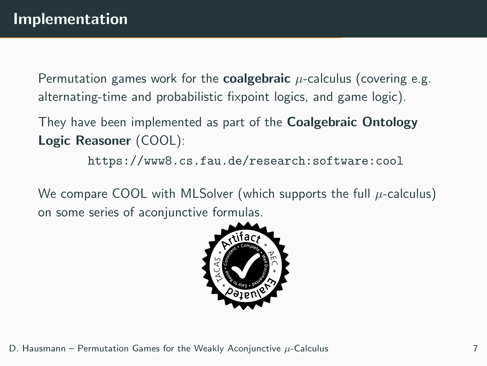Permutation games work for the **coalgebraic**  $\mu$ -calculus (covering e.g. alternating-time and probabilistic fixpoint logics, and game logic).

They have been implemented as part of the **Coalgebraic Ontology** Logic Reasoner (COOL):

<https://www8.cs.fau.de/research:software:cool>

We compare COOL with MLSolver (which supports the full  $\mu$ -calculus) on some series of aconjunctive formulas.

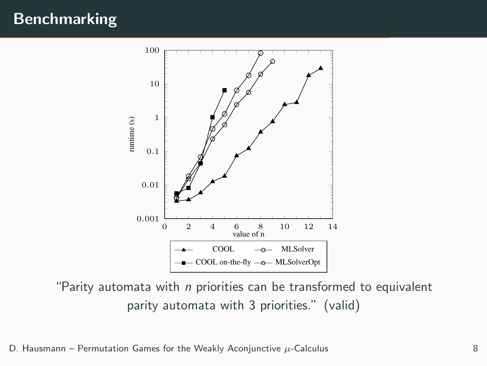# Benchmarking



"Parity automata with  $n$  priorities can be transformed to equivalent parity automata with 3 priorities." (valid)